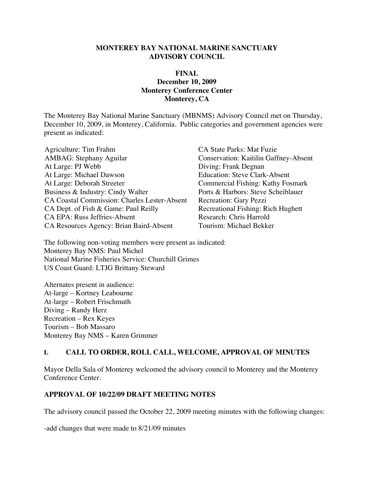#### **MONTEREY BAY NATIONAL MARINE SANCTUARY ADVISORY COUNCIL**

#### **FINAL December 10, 2009 Monterey Conference Center Monterey, CA**

The Monterey Bay National Marine Sanctuary (MBNMS) Advisory Council met on Thursday, December 10, 2009, in Monterey, California. Public categories and government agencies were present as indicated:

| Agriculture: Tim Frahm                              |
|-----------------------------------------------------|
| <b>AMBAG</b> : Stephany Aguilar                     |
| At Large: PJ Webb                                   |
| At Large: Michael Dawson                            |
| At Large: Deborah Streeter                          |
| Business & Industry: Cindy Walter                   |
| <b>CA Coastal Commission: Charles Lester-Absent</b> |
| CA Dept. of Fish & Game: Paul Reilly                |
| <b>CA EPA: Russ Jeffries-Absent</b>                 |
| CA Resources Agency: Brian Baird-Absent             |

CA State Parks: Mat Fuzie Conservation: Kaitilin Gaffney-Absent Diving: Frank Degnan Education: Steve Clark-Absent Commercial Fishing: Kathy Fosmark Ports & Harbors: Steve Scheiblauer Recreation: Gary Pezzi Recreational Fishing: Rich Hughett Research: Chris Harrold Tourism: Michael Bekker

The following non-voting members were present as indicated: Monterey Bay NMS: Paul Michel National Marine Fisheries Service: Churchill Grimes US Coast Guard: LTJG Brittany Steward

Alternates present in audience: At-large – Kortney Leabourne At-large – Robert Frischmuth Diving – Randy Herz Recreation – Rex Keyes Tourism – Bob Massaro Monterey Bay NMS – Karen Grimmer

#### **I. CALL TO ORDER, ROLL CALL, WELCOME, APPROVAL OF MINUTES**

Mayor Della Sala of Monterey welcomed the advisory council to Monterey and the Monterey Conference Center.

#### **APPROVAL OF 10/22/09 DRAFT MEETING NOTES**

The advisory council passed the October 22, 2009 meeting minutes with the following changes:

-add changes that were made to 8/21/09 minutes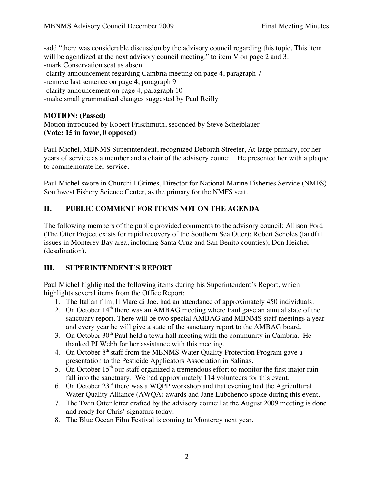-add "there was considerable discussion by the advisory council regarding this topic. This item will be agendized at the next advisory council meeting." to item V on page 2 and 3. -mark Conservation seat as absent -clarify announcement regarding Cambria meeting on page 4, paragraph 7 -remove last sentence on page 4, paragraph 9 -clarify announcement on page 4, paragraph 10 -make small grammatical changes suggested by Paul Reilly

### **MOTION: (Passed)**

Motion introduced by Robert Frischmuth, seconded by Steve Scheiblauer **(Vote: 15 in favor, 0 opposed)**

Paul Michel, MBNMS Superintendent, recognized Deborah Streeter, At-large primary, for her years of service as a member and a chair of the advisory council. He presented her with a plaque to commemorate her service.

Paul Michel swore in Churchill Grimes, Director for National Marine Fisheries Service (NMFS) Southwest Fishery Science Center, as the primary for the NMFS seat.

# **II. PUBLIC COMMENT FOR ITEMS NOT ON THE AGENDA**

The following members of the public provided comments to the advisory council: Allison Ford (The Otter Project exists for rapid recovery of the Southern Sea Otter); Robert Scholes (landfill issues in Monterey Bay area, including Santa Cruz and San Benito counties); Don Heichel (desalination).

# **III. SUPERINTENDENT'S REPORT**

Paul Michel highlighted the following items during his Superintendent's Report, which highlights several items from the Office Report:

- 1. The Italian film, Il Mare di Joe, had an attendance of approximately 450 individuals.
- 2. On October  $14<sup>th</sup>$  there was an AMBAG meeting where Paul gave an annual state of the sanctuary report. There will be two special AMBAG and MBNMS staff meetings a year and every year he will give a state of the sanctuary report to the AMBAG board.
- 3. On October  $30<sup>th</sup>$  Paul held a town hall meeting with the community in Cambria. He thanked PJ Webb for her assistance with this meeting.
- 4. On October 8<sup>th</sup> staff from the MBNMS Water Quality Protection Program gave a presentation to the Pesticide Applicators Association in Salinas.
- 5. On October  $15<sup>th</sup>$  our staff organized a tremendous effort to monitor the first major rain fall into the sanctuary. We had approximately 114 volunteers for this event.
- 6. On October  $23<sup>rd</sup>$  there was a WQPP workshop and that evening had the Agricultural Water Quality Alliance (AWQA) awards and Jane Lubchenco spoke during this event.
- 7. The Twin Otter letter crafted by the advisory council at the August 2009 meeting is done and ready for Chris' signature today.
- 8. The Blue Ocean Film Festival is coming to Monterey next year.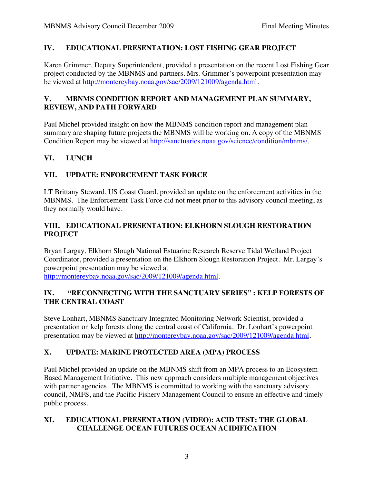### **IV. EDUCATIONAL PRESENTATION: LOST FISHING GEAR PROJECT**

Karen Grimmer, Deputy Superintendent, provided a presentation on the recent Lost Fishing Gear project conducted by the MBNMS and partners. Mrs. Grimmer's powerpoint presentation may be viewed at http://montereybay.noaa.gov/sac/2009/121009/agenda.html.

### **V. MBNMS CONDITION REPORT AND MANAGEMENT PLAN SUMMARY, REVIEW, AND PATH FORWARD**

Paul Michel provided insight on how the MBNMS condition report and management plan summary are shaping future projects the MBNMS will be working on. A copy of the MBNMS Condition Report may be viewed at http://sanctuaries.noaa.gov/science/condition/mbnms/.

# **VI. LUNCH**

# **VII. UPDATE: ENFORCEMENT TASK FORCE**

LT Brittany Steward, US Coast Guard, provided an update on the enforcement activities in the MBNMS. The Enforcement Task Force did not meet prior to this advisory council meeting, as they normally would have.

### **VIII. EDUCATIONAL PRESENTATION: ELKHORN SLOUGH RESTORATION PROJECT**

Bryan Largay, Elkhorn Slough National Estuarine Research Reserve Tidal Wetland Project Coordinator, provided a presentation on the Elkhorn Slough Restoration Project. Mr. Largay's powerpoint presentation may be viewed at

http://montereybay.noaa.gov/sac/2009/121009/agenda.html.

### **IX. "RECONNECTING WITH THE SANCTUARY SERIES" : KELP FORESTS OF THE CENTRAL COAST**

Steve Lonhart, MBNMS Sanctuary Integrated Monitoring Network Scientist, provided a presentation on kelp forests along the central coast of California. Dr. Lonhart's powerpoint presentation may be viewed at http://montereybay.noaa.gov/sac/2009/121009/agenda.html.

# **X. UPDATE: MARINE PROTECTED AREA (MPA) PROCESS**

Paul Michel provided an update on the MBNMS shift from an MPA process to an Ecosystem Based Management Initiative. This new approach considers multiple management objectives with partner agencies. The MBNMS is committed to working with the sanctuary advisory council, NMFS, and the Pacific Fishery Management Council to ensure an effective and timely public process.

#### **XI. EDUCATIONAL PRESENTATION (VIDEO): ACID TEST: THE GLOBAL CHALLENGE OCEAN FUTURES OCEAN ACIDIFICATION**